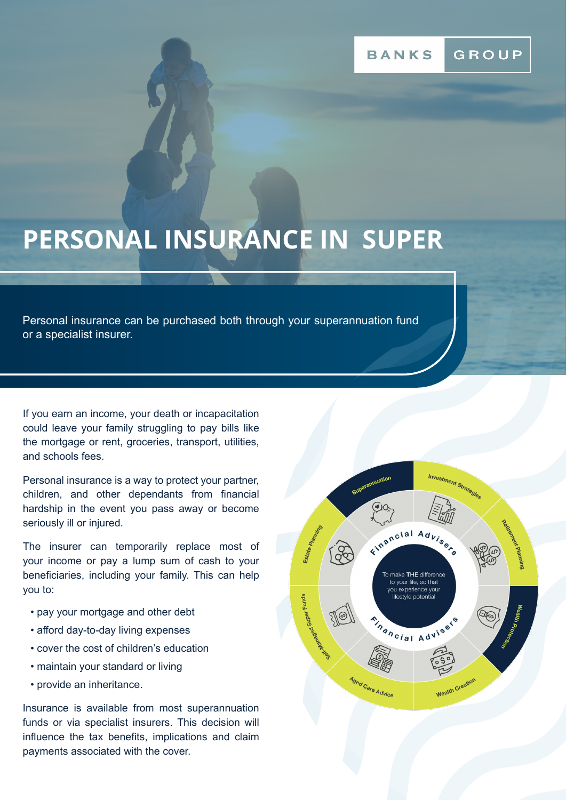# GROUP

# **PERSONAL INSURANCE IN SUPER**

Personal insurance can be purchased both through your superannuation fund or a specialist insurer.

If you earn an income, your death or incapacitation could leave your family struggling to pay bills like the mortgage or rent, groceries, transport, utilities, and schools fees.

Personal insurance is a way to protect your partner, children, and other dependants from financial hardship in the event you pass away or become seriously ill or injured.

The insurer can temporarily replace most of your income or pay a lump sum of cash to your beneficiaries, including your family. This can help you to:

- pay your mortgage and other debt
- afford day-to-day living expenses
- cover the cost of children's education
- maintain your standard or living
- provide an inheritance.

Insurance is available from most superannuation funds or via specialist insurers. This decision will influence the tax benefits, implications and claim payments associated with the cover.

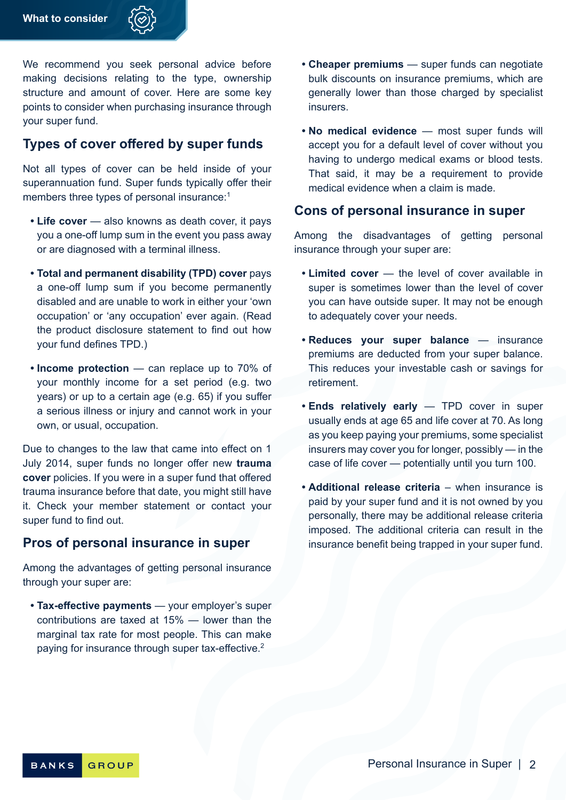

We recommend you seek personal advice before making decisions relating to the type, ownership structure and amount of cover. Here are some key points to consider when purchasing insurance through your super fund.

# **Types of cover offered by super funds**

Not all types of cover can be held inside of your superannuation fund. Super funds typically offer their members three types of personal insurance:<sup>1</sup>

- **• Life cover** also knowns as death cover, it pays you a one-off lump sum in the event you pass away or are diagnosed with a terminal illness.
- **• Total and permanent disability (TPD) cover** pays a one-off lump sum if you become permanently disabled and are unable to work in either your 'own occupation' or 'any occupation' ever again. (Read the product disclosure statement to find out how your fund defines TPD.)
- **• Income protection** can replace up to 70% of your monthly income for a set period (e.g. two years) or up to a certain age (e.g. 65) if you suffer a serious illness or injury and cannot work in your own, or usual, occupation.

Due to changes to the law that came into effect on 1 July 2014, super funds no longer offer new **trauma cover** policies. If you were in a super fund that offered trauma insurance before that date, you might still have it. Check your member statement or contact your super fund to find out.

#### **Pros of personal insurance in super**

Among the advantages of getting personal insurance through your super are:

**• Tax-effective payments** — your employer's super contributions are taxed at 15% — lower than the marginal tax rate for most people. This can make paying for insurance through super tax-effective.<sup>2</sup>

- **• Cheaper premiums** super funds can negotiate bulk discounts on insurance premiums, which are generally lower than those charged by specialist **insurers**
- **• No medical evidence** most super funds will accept you for a default level of cover without you having to undergo medical exams or blood tests. That said, it may be a requirement to provide medical evidence when a claim is made.

#### **Cons of personal insurance in super**

Among the disadvantages of getting personal insurance through your super are:

- **• Limited cover** the level of cover available in super is sometimes lower than the level of cover you can have outside super. It may not be enough to adequately cover your needs.
- **• Reduces your super balance** insurance premiums are deducted from your super balance. This reduces your investable cash or savings for retirement.
- **• Ends relatively early**  TPD cover in super usually ends at age 65 and life cover at 70. As long as you keep paying your premiums, some specialist insurers may cover you for longer, possibly — in the case of life cover — potentially until you turn 100.
- **• Additional release criteria** when insurance is paid by your super fund and it is not owned by you personally, there may be additional release criteria imposed. The additional criteria can result in the insurance benefit being trapped in your super fund.